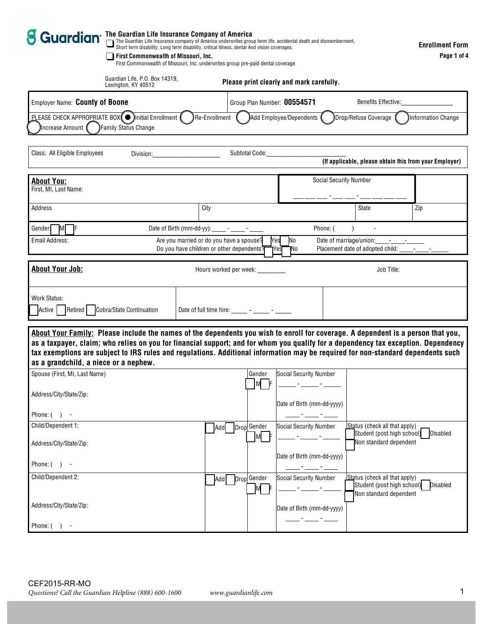| <b>S Guardian</b> The Guardian Life Insurance Company of America<br>The Guardian Life Insurance company of America underwrites group term life, accidental death and dismemberment,<br>Short term disability, Long term disability, critical illness, dental And vision coverages.<br>First Commonwealth of Missouri, Inc.<br>First Commonwealth of Missouri, Inc. underwrites group pre-paid dental coverage                                       |                                                 |                                                                                                                                                                                                                                                                                                                                                                                                           |                                                      |                                                                                              |                    |  |  |  |
|-----------------------------------------------------------------------------------------------------------------------------------------------------------------------------------------------------------------------------------------------------------------------------------------------------------------------------------------------------------------------------------------------------------------------------------------------------|-------------------------------------------------|-----------------------------------------------------------------------------------------------------------------------------------------------------------------------------------------------------------------------------------------------------------------------------------------------------------------------------------------------------------------------------------------------------------|------------------------------------------------------|----------------------------------------------------------------------------------------------|--------------------|--|--|--|
| Guardian Life, P.O. Box 14319,<br>Lexington, KY 40512                                                                                                                                                                                                                                                                                                                                                                                               |                                                 | Please print clearly and mark carefully.                                                                                                                                                                                                                                                                                                                                                                  |                                                      |                                                                                              |                    |  |  |  |
| Employer Name: County of Boone                                                                                                                                                                                                                                                                                                                                                                                                                      |                                                 | Group Plan Number: 00554571                                                                                                                                                                                                                                                                                                                                                                               | <b>Benefits Effective:</b>                           |                                                                                              |                    |  |  |  |
| <b>PLEASE CHECK APPROPRIATE BOX(<math>\bullet</math>)</b> Initial Enrollment ( $\bullet$ )Re-Enrollment ( $\bullet$ )Add Employee/Dependents (<br>Increase Amount ( ) Family Status Change                                                                                                                                                                                                                                                          |                                                 |                                                                                                                                                                                                                                                                                                                                                                                                           |                                                      | Drop/Refuse Coverage (                                                                       | Information Change |  |  |  |
| Class: All Eligible Employees                                                                                                                                                                                                                                                                                                                                                                                                                       | Division: <b>Example 20</b>                     | Subtotal Code:                                                                                                                                                                                                                                                                                                                                                                                            |                                                      | (If applicable, please obtain this from your Employer)                                       |                    |  |  |  |
| <b>About You:</b><br>First, MI, Last Name:                                                                                                                                                                                                                                                                                                                                                                                                          |                                                 |                                                                                                                                                                                                                                                                                                                                                                                                           |                                                      | <b>Social Security Number</b>                                                                |                    |  |  |  |
| Address                                                                                                                                                                                                                                                                                                                                                                                                                                             | City                                            |                                                                                                                                                                                                                                                                                                                                                                                                           |                                                      | State                                                                                        | Zip                |  |  |  |
| $M$ $F$<br>Gender!                                                                                                                                                                                                                                                                                                                                                                                                                                  | Date of Birth (mm-dd-yy): _____ - _____ - _____ |                                                                                                                                                                                                                                                                                                                                                                                                           |                                                      | Phone: (                                                                                     |                    |  |  |  |
| Are you married or do you have a spouse?<br>Yes<br>Email Address:<br>No<br>Date of marriage/union:<br><b>Service</b> Service<br>Do you have children or other dependents?<br>Placement date of adopted child: -<br>Yes<br>IΝo                                                                                                                                                                                                                       |                                                 |                                                                                                                                                                                                                                                                                                                                                                                                           |                                                      |                                                                                              |                    |  |  |  |
| <b>About Your Job:</b>                                                                                                                                                                                                                                                                                                                                                                                                                              |                                                 | Hours worked per week:                                                                                                                                                                                                                                                                                                                                                                                    |                                                      | Job Title:                                                                                   |                    |  |  |  |
| <b>Work Status:</b><br>Retired   Cobra/State Continuation<br>Active                                                                                                                                                                                                                                                                                                                                                                                 |                                                 | Date of full time hire: $\frac{1}{\sqrt{1-\frac{1}{2}}}\frac{1}{\sqrt{1-\frac{1}{2}}}\frac{1}{\sqrt{1-\frac{1}{2}}}\frac{1}{\sqrt{1-\frac{1}{2}}}\frac{1}{\sqrt{1-\frac{1}{2}}}\frac{1}{\sqrt{1-\frac{1}{2}}}\frac{1}{\sqrt{1-\frac{1}{2}}}\frac{1}{\sqrt{1-\frac{1}{2}}}\frac{1}{\sqrt{1-\frac{1}{2}}}\frac{1}{\sqrt{1-\frac{1}{2}}}\frac{1}{\sqrt{1-\frac{1}{2}}}\frac{1}{\sqrt{1-\frac{1}{2}}}\frac{1$ |                                                      |                                                                                              |                    |  |  |  |
| About Your Family: Please include the names of the dependents you wish to enroll for coverage. A dependent is a person that you,<br>as a taxpayer, claim; who relies on you for financial support; and for whom you qualify for a dependency tax exception. Dependency<br>tax exemptions are subject to IRS rules and regulations. Additional information may be required for non-standard dependents such<br>as a grandchild, a niece or a nephew. |                                                 |                                                                                                                                                                                                                                                                                                                                                                                                           |                                                      |                                                                                              |                    |  |  |  |
| Spouse (First, MI, Last Name)<br>Address/City/State/Zip:                                                                                                                                                                                                                                                                                                                                                                                            |                                                 | Gender<br>M                                                                                                                                                                                                                                                                                                                                                                                               | Social Security Number<br>Date of Birth (mm-dd-yyyy) |                                                                                              |                    |  |  |  |
| Phone: $( )$ -                                                                                                                                                                                                                                                                                                                                                                                                                                      |                                                 |                                                                                                                                                                                                                                                                                                                                                                                                           |                                                      |                                                                                              |                    |  |  |  |
| Child/Dependent 1:                                                                                                                                                                                                                                                                                                                                                                                                                                  | Add                                             | Drop Gender                                                                                                                                                                                                                                                                                                                                                                                               | <b>Social Security Number</b>                        | Status (check all that apply)<br>Student (post high school)                                  | Disabled           |  |  |  |
| Address/City/State/Zip:                                                                                                                                                                                                                                                                                                                                                                                                                             |                                                 | MI                                                                                                                                                                                                                                                                                                                                                                                                        |                                                      | Non standard dependent                                                                       |                    |  |  |  |
| Phone: $( )$ -                                                                                                                                                                                                                                                                                                                                                                                                                                      |                                                 |                                                                                                                                                                                                                                                                                                                                                                                                           | Date of Birth (mm-dd-yyyy)                           |                                                                                              |                    |  |  |  |
| Child/Dependent 2:                                                                                                                                                                                                                                                                                                                                                                                                                                  |                                                 | Add Drop Gender<br>$M$ F                                                                                                                                                                                                                                                                                                                                                                                  | <b>Social Security Number</b>                        | <b>Status</b> (check all that apply)<br>Student (post high school)<br>Non standard dependent | <b>Disabled</b>    |  |  |  |
| Address/City/State/Zip:                                                                                                                                                                                                                                                                                                                                                                                                                             |                                                 |                                                                                                                                                                                                                                                                                                                                                                                                           | Date of Birth (mm-dd-yyyy)                           |                                                                                              |                    |  |  |  |
| Phone: $( )$ -                                                                                                                                                                                                                                                                                                                                                                                                                                      |                                                 |                                                                                                                                                                                                                                                                                                                                                                                                           |                                                      |                                                                                              |                    |  |  |  |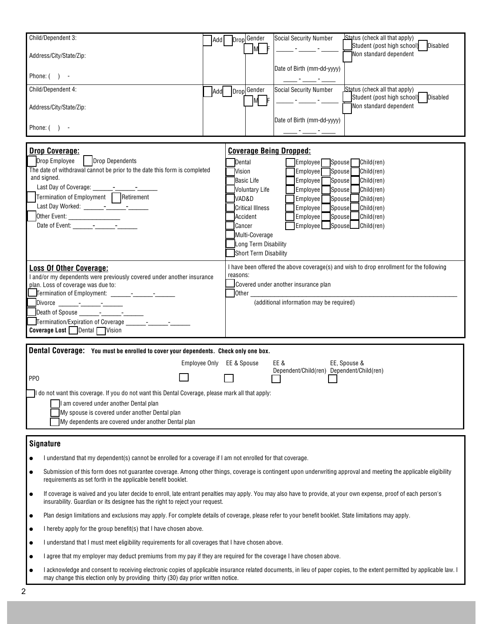| Child/Dependent 3:                                                                                                                                                                                                                                | Add                                     |                   | Drop Gender<br>M F                       | Status (check all that apply)<br>Social Security Number<br>Student (post high school)   Disabled                                                                                                                              |  |  |  |  |
|---------------------------------------------------------------------------------------------------------------------------------------------------------------------------------------------------------------------------------------------------|-----------------------------------------|-------------------|------------------------------------------|-------------------------------------------------------------------------------------------------------------------------------------------------------------------------------------------------------------------------------|--|--|--|--|
| Address/City/State/Zip:                                                                                                                                                                                                                           |                                         |                   |                                          | Non standard dependent                                                                                                                                                                                                        |  |  |  |  |
| Phone: $( )$ -                                                                                                                                                                                                                                    |                                         |                   |                                          | Date of Birth (mm-dd-yyyy)                                                                                                                                                                                                    |  |  |  |  |
| Child/Dependent 4:                                                                                                                                                                                                                                |                                         | Add Drop Gender   | M F                                      | Status (check all that apply)<br><b>Social Security Number</b><br>Student (post high school) Disabled<br><u> 1999 - Jan James Barnett, politik eta provincia eta politika eta provincia eta politika eta provincia eta pr</u> |  |  |  |  |
| Address/City/State/Zip:                                                                                                                                                                                                                           |                                         |                   |                                          | Non standard dependent                                                                                                                                                                                                        |  |  |  |  |
| Phone: $( )$ -                                                                                                                                                                                                                                    |                                         |                   |                                          | Date of Birth (mm-dd-yyyy)<br>المستنسبة أأستنسب أأستنسب                                                                                                                                                                       |  |  |  |  |
|                                                                                                                                                                                                                                                   |                                         |                   |                                          |                                                                                                                                                                                                                               |  |  |  |  |
| <b>Drop Coverage:</b>                                                                                                                                                                                                                             |                                         |                   | <b>Coverage Being Dropped:</b>           |                                                                                                                                                                                                                               |  |  |  |  |
|                                                                                                                                                                                                                                                   | Drop Employee<br><b>Drop Dependents</b> |                   | Dental<br>Employee Spouse<br>Child(ren)  |                                                                                                                                                                                                                               |  |  |  |  |
| The date of withdrawal cannot be prior to the date this form is completed                                                                                                                                                                         |                                         | <b>Vision</b>     |                                          | Spouse<br>Employee<br>Child(ren)                                                                                                                                                                                              |  |  |  |  |
| and signed.                                                                                                                                                                                                                                       |                                         | <b>Basic Life</b> |                                          | Spouse<br>Employee<br>Child(ren)                                                                                                                                                                                              |  |  |  |  |
|                                                                                                                                                                                                                                                   |                                         |                   | <b>Voluntary Life</b>                    | Spouse<br>Employee<br>Child(ren)                                                                                                                                                                                              |  |  |  |  |
| Termination of Employment Retirement                                                                                                                                                                                                              |                                         | VAD&D             |                                          | Child(ren)                                                                                                                                                                                                                    |  |  |  |  |
|                                                                                                                                                                                                                                                   |                                         |                   |                                          | Spouse<br>Employee                                                                                                                                                                                                            |  |  |  |  |
|                                                                                                                                                                                                                                                   |                                         |                   | Critical Illness                         | <b>Employee</b><br>Spouse<br>Child(ren)                                                                                                                                                                                       |  |  |  |  |
|                                                                                                                                                                                                                                                   |                                         | Accident          |                                          | $\sfl$ Spouse $\sf{l}$<br>Child(ren)<br>Employee                                                                                                                                                                              |  |  |  |  |
| Date of Event: $\begin{array}{ccc} - & - \end{array}$                                                                                                                                                                                             |                                         | Cancer            |                                          | Employee   Spouse<br>$J$ Child(ren)                                                                                                                                                                                           |  |  |  |  |
|                                                                                                                                                                                                                                                   |                                         |                   | Multi-Coverage                           |                                                                                                                                                                                                                               |  |  |  |  |
|                                                                                                                                                                                                                                                   |                                         |                   | Long Term Disability                     |                                                                                                                                                                                                                               |  |  |  |  |
|                                                                                                                                                                                                                                                   |                                         |                   | Short Term Disability                    |                                                                                                                                                                                                                               |  |  |  |  |
|                                                                                                                                                                                                                                                   |                                         |                   |                                          |                                                                                                                                                                                                                               |  |  |  |  |
| <b>Loss Of Other Coverage:</b>                                                                                                                                                                                                                    |                                         |                   |                                          | I have been offered the above coverage(s) and wish to drop enrollment for the following                                                                                                                                       |  |  |  |  |
| I and/or my dependents were previously covered under another insurance                                                                                                                                                                            |                                         |                   | reasons:                                 |                                                                                                                                                                                                                               |  |  |  |  |
| plan. Loss of coverage was due to:                                                                                                                                                                                                                |                                         |                   | Covered under another insurance plan     |                                                                                                                                                                                                                               |  |  |  |  |
| <b>T</b> ermination of Employment: _______-_ <sup>_</sup> ______- <sup>_</sup> _______                                                                                                                                                            |                                         |                   | Other $\_\_$                             |                                                                                                                                                                                                                               |  |  |  |  |
|                                                                                                                                                                                                                                                   |                                         |                   | (additional information may be required) |                                                                                                                                                                                                                               |  |  |  |  |
| Death of Spouse ______-_-___-____-_______                                                                                                                                                                                                         |                                         |                   |                                          |                                                                                                                                                                                                                               |  |  |  |  |
|                                                                                                                                                                                                                                                   |                                         |                   |                                          |                                                                                                                                                                                                                               |  |  |  |  |
|                                                                                                                                                                                                                                                   |                                         |                   |                                          |                                                                                                                                                                                                                               |  |  |  |  |
| <b>Coverage Lost</b> Dental Vision                                                                                                                                                                                                                |                                         |                   |                                          |                                                                                                                                                                                                                               |  |  |  |  |
| Dental Coverage: You must be enrolled to cover your dependents. Check only one box.                                                                                                                                                               |                                         |                   |                                          |                                                                                                                                                                                                                               |  |  |  |  |
|                                                                                                                                                                                                                                                   | Employee Only EE & Spouse               |                   |                                          | EE &<br>EE, Spouse &                                                                                                                                                                                                          |  |  |  |  |
|                                                                                                                                                                                                                                                   |                                         |                   |                                          | Dependent/Child(ren) Dependent/Child(ren)                                                                                                                                                                                     |  |  |  |  |
| PP <sub>0</sub>                                                                                                                                                                                                                                   |                                         |                   |                                          |                                                                                                                                                                                                                               |  |  |  |  |
| do not want this coverage. If you do not want this Dental Coverage, please mark all that apply:                                                                                                                                                   |                                         |                   |                                          |                                                                                                                                                                                                                               |  |  |  |  |
| am covered under another Dental plan                                                                                                                                                                                                              |                                         |                   |                                          |                                                                                                                                                                                                                               |  |  |  |  |
|                                                                                                                                                                                                                                                   |                                         |                   |                                          |                                                                                                                                                                                                                               |  |  |  |  |
| My spouse is covered under another Dental plan                                                                                                                                                                                                    |                                         |                   |                                          |                                                                                                                                                                                                                               |  |  |  |  |
| My dependents are covered under another Dental plan                                                                                                                                                                                               |                                         |                   |                                          |                                                                                                                                                                                                                               |  |  |  |  |
|                                                                                                                                                                                                                                                   |                                         |                   |                                          |                                                                                                                                                                                                                               |  |  |  |  |
| <b>Signature</b>                                                                                                                                                                                                                                  |                                         |                   |                                          |                                                                                                                                                                                                                               |  |  |  |  |
| I understand that my dependent(s) cannot be enrolled for a coverage if I am not enrolled for that coverage.                                                                                                                                       |                                         |                   |                                          |                                                                                                                                                                                                                               |  |  |  |  |
| Submission of this form does not guarantee coverage. Among other things, coverage is contingent upon underwriting approval and meeting the applicable eligibility<br>requirements as set forth in the applicable benefit booklet.                 |                                         |                   |                                          |                                                                                                                                                                                                                               |  |  |  |  |
| If coverage is waived and you later decide to enroll, late entrant penalties may apply. You may also have to provide, at your own expense, proof of each person's<br>insurability. Guardian or its designee has the right to reject your request. |                                         |                   |                                          |                                                                                                                                                                                                                               |  |  |  |  |
| Plan design limitations and exclusions may apply. For complete details of coverage, please refer to your benefit booklet. State limitations may apply.                                                                                            |                                         |                   |                                          |                                                                                                                                                                                                                               |  |  |  |  |

I hereby apply for the group benefit(s) that I have chosen above.

I understand that I must meet eligibility requirements for all coverages that I have chosen above.

I agree that my employer may deduct premiums from my pay if they are required for the coverage I have chosen above.

I acknowledge and consent to receiving electronic copies of applicable insurance related documents, in lieu of paper copies, to the extent permitted by applicable law. I may change this election only by providing thirty (30) day prior written notice.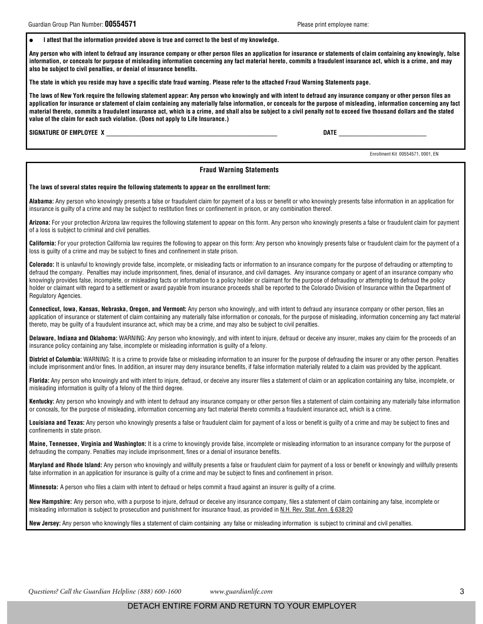**DATE** 

Enrollment Kit 00554571, 0001, EN

I attest that the information provided above is true and correct to the best of my knowledge.

Any person who with intent to defraud any insurance company or other person files an application for insurance or statements of claim containing any knowingly, false information, or conceals for purpose of misleading information concerning any fact material hereto, commits a fraudulent insurance act, which is a crime, and may also be subject to civil penalties, or denial of insurance benefits.

The state in which you reside may have a specific state fraud warning. Please refer to the attached Fraud Warning Statements page.

The laws of New York require the following statement appear: Any person who knowingly and with intent to defraud any insurance company or other person files an application for insurance or statement of claim containing any materially false information, or conceals for the purpose of misleading, information concerning any fact material thereto, commits a fraudulent insurance act, which is a crime, and shall also be subject to a civil penalty not to exceed five thousand dollars and the stated value of the claim for each such violation. (Does not apply to Life Insurance.)

SIGNATURE OF EMPLOYEE X

## **Fraud Warning Statements**

The laws of several states require the following statements to appear on the enrollment form:

Alabama: Any person who knowingly presents a false or fraudulent claim for payment of a loss or benefit or who knowingly presents false information in an application for insurance is guilty of a crime and may be subject to restitution fines or confinement in prison, or any combination thereof.

Arizona: For your protection Arizona law requires the following statement to appear on this form. Any person who knowingly presents a false or fraudulent claim for payment of a loss is subject to criminal and civil penalties.

California: For your protection California law requires the following to appear on this form: Any person who knowingly presents false or fraudulent claim for the payment of a loss is guilty of a crime and may be subject to fines and confinement in state prison.

Colorado: It is unlawful to knowingly provide false, incomplete, or misleading facts or information to an insurance company for the purpose of defrauding or attempting to defraud the company. Penalties may include imprisonment, fines, denial of insurance, and civil damages. Any insurance company or agent of an insurance company who knowingly provides false, incomplete, or misleading facts or information to a policy holder or claimant for the purpose of defrauding or attempting to defraud the policy holder or claimant with regard to a settlement or award payable from insurance proceeds shall be reported to the Colorado Division of Insurance within the Department of Regulatory Agencies.

Connecticut, Iowa, Kansas, Nebraska, Oregon, and Vermont: Any person who knowingly, and with intent to defraud any insurance company or other person, files an application of insurance or statement of claim containing any materially false information or conceals, for the purpose of misleading, information concerning any fact material thereto, may be quilty of a fraudulent insurance act, which may be a crime, and may also be subject to civil penalties.

Delaware, Indiana and Oklahoma: WARNING: Any person who knowingly, and with intent to injure, defraud or deceive any insurer, makes any claim for the proceeds of an insurance policy containing any false, incomplete or misleading information is guilty of a felony.

District of Columbia: WARNING: It is a crime to provide false or misleading information to an insurer for the purpose of defrauding the insurer or any other person. Penalties include imprisonment and/or fines. In addition, an insurer may deny insurance benefits, if false information materially related to a claim was provided by the applicant.

Florida: Any person who knowingly and with intent to injure, defraud, or deceive any insurer files a statement of claim or an application containing any false, incomplete, or misleading information is guilty of a felony of the third degree.

Kentucky: Any person who knowingly and with intent to defraud any insurance company or other person files a statement of claim containing any materially false information or conceals, for the purpose of misleading, information concerning any fact material thereto commits a fraudulent insurance act, which is a crime.

Louisiana and Texas: Any person who knowingly presents a false or fraudulent claim for payment of a loss or benefit is quilty of a crime and may be subject to fines and confinements in state prison.

Maine, Tennessee, Virginia and Washington: It is a crime to knowingly provide false, incomplete or misleading information to an insurance company for the purpose of defrauding the company. Penalties may include imprisonment, fines or a denial of insurance benefits.

Maryland and Rhode Island: Any person who knowingly and willfully presents a false or fraudulent claim for payment of a loss or benefit or knowingly and willfully presents false information in an application for insurance is guilty of a crime and may be subject to fines and confinement in prison.

Minnesota: A person who files a claim with intent to defraud or helps commit a fraud against an insurer is quilty of a crime.

New Hampshire: Any person who, with a purpose to injure, defraud or deceive any insurance company, files a statement of claim containing any false, incomplete or misleading information is subject to prosecution and punishment for insurance fraud, as provided in N.H. Rev. Stat. Ann. § 638:20

New Jersey: Any person who knowingly files a statement of claim containing any false or misleading information is subject to criminal and civil penalties.